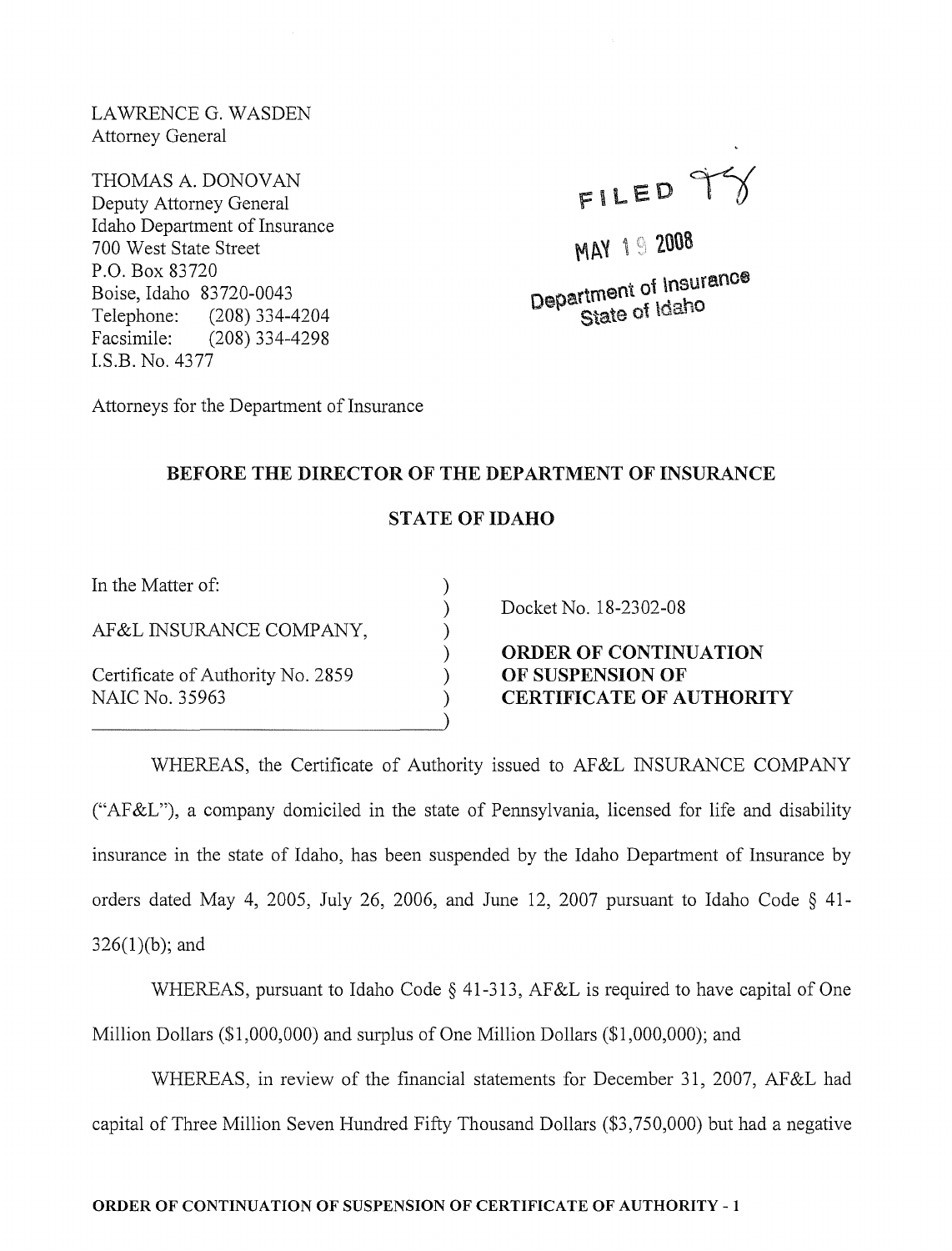LAWRENCE G. WASDEN Attorney General

THOMAS A. DONOVAN Deputy Attorney General Idaho Department of Insurance 700 West State Street P.O. Box 83720 Boise, Idaho 83720-0043 Telephone: (208) 334-4204 Facsimile: (208) 334-4298 LS.B. No. 4377

FILED 9

MAY 19 2008

Department of Insurance State of Idaho

Attorneys for the Department of Insurance

# BEFORE THE DIRECTOR OF THE DEPARTMENT OF INSURANCE

# STATE OF IDAHO

) ) ) ) ) ) )

In the Matter of:

AF&L INSURANCE COMPANY,

Certificate of Authority No. 2859 NAIC No. 35963

Docket No. 18-2302-08

ORDER OF CONTINUATION OF SUSPENSION OF CERTIFICATE OF AUTHORITY

WHEREAS, the Certificate of Authority issued to AF&L INSURANCE COMPANY ("AF&L"), a company domiciled in the state of Pennsylvania, licensed for life and disability insurance in the state of Idaho, has been suspended by the Idaho Department of Insurance by orders dated May 4, 2005, July 26, 2006, and June 12, 2007 pursuant to Idaho Code  $\S$  41-326(1)(b); and

WHEREAS, pursuant to Idaho Code § 41-313, AF&L is required to have capital of One Million Dollars ( $$1,000,000$ ) and surplus of One Million Dollars ( $$1,000,000$ ); and

WHEREAS, in review of the financial statements for December 31, 2007, AF&L had capital of Three Million Seven Hundred Fifty Thousand Dollars (\$3,750,000) but had a negative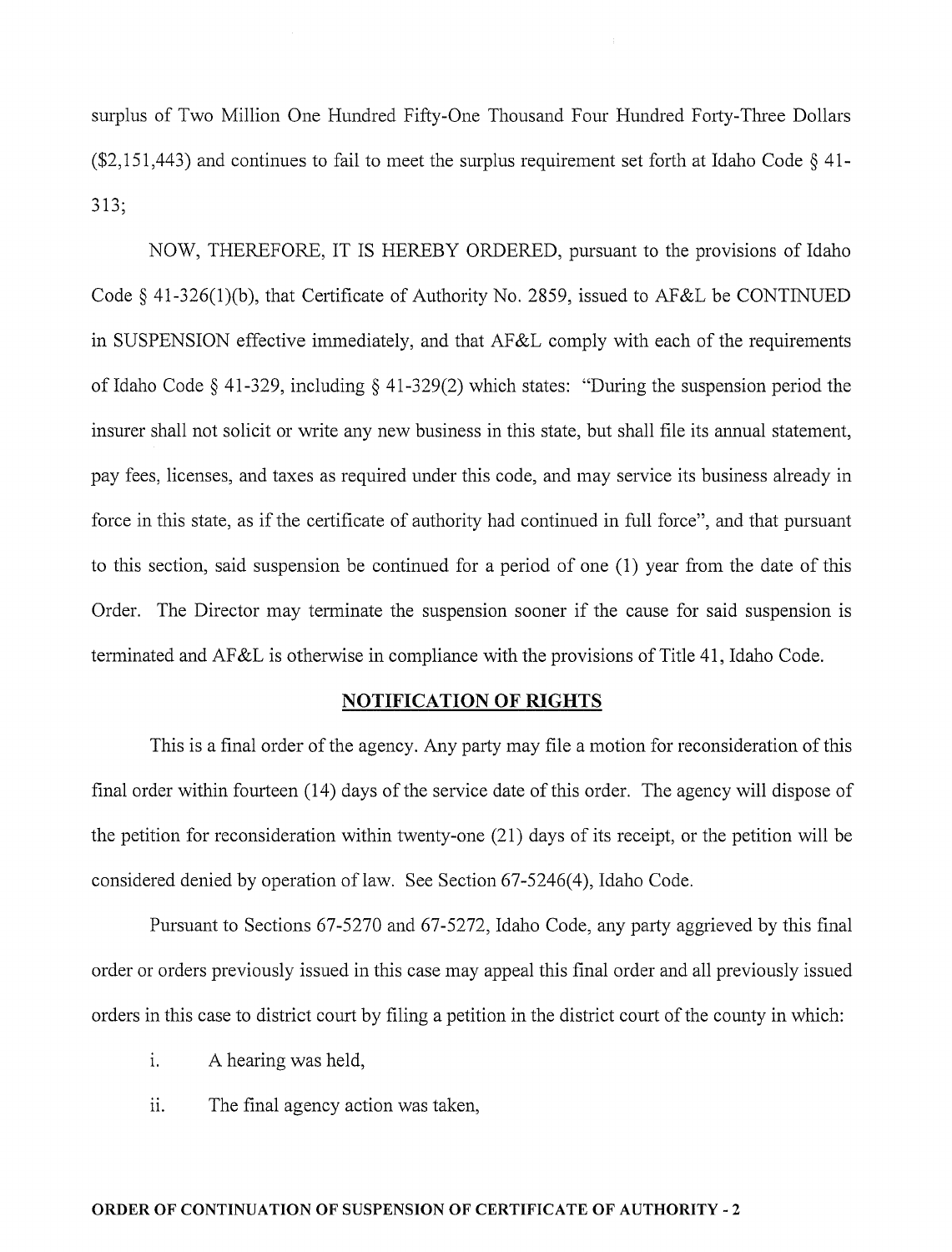surplus of Two Million One Hundred Fifty-One Thousand Four Hundred Forty-Three Dollars  $(\$2,151,443)$  and continues to fail to meet the surplus requirement set forth at Idaho Code § 41-313;

NOW, THEREFORE, IT IS HEREBY ORDERED, pursuant to the provisions of Idaho Code § 41-326(1)(b), that Certificate of Authority No. 2859, issued to AF&L be CONTINUED in SUSPENSION effective immediately, and that AF&L comply with each of the requirements of Idaho Code  $\S$  41-329, including  $\S$  41-329(2) which states: "During the suspension period the insurer shall not solicit or write any new business in this state, but shall file its annual statement, pay fees, licenses, and taxes as required under this code, and may service its business already in force in this state, as if the certificate of authority had continued in full force", and that pursuant to this section, said suspension be continued for a period of one (1) year from the date of this Order. The Director may terminate the suspension sooner if the cause for said suspension is terminated and AF & L is otherwise in compliance with the provisions of Title 41, Idaho Code.

### **NOTIFICATION OF RIGHTS**

This is a final order of the agency. Any party may file a motion for reconsideration of this final order within fourteen (14) days of the service date of this order. The agency will dispose of the petition for reconsideration within twenty-one (21) days of its receipt, or the petition will be considered denied by operation of law. See Section 67 -5246(4), Idaho Code.

Pursuant to Sections 67-5270 and 67-5272, Idaho Code, any party aggrieved by this final order or orders previously issued in this case may appeal this final order and all previously issued orders in this case to district court by filing a petition in the district court of the county in which:

- 1. A hearing was held,
- ii. The final agency action was taken,

#### **ORDER OF CONTINUATION OF SUSPENSION OF CERTIFICATE OF AUTHORITY** - 2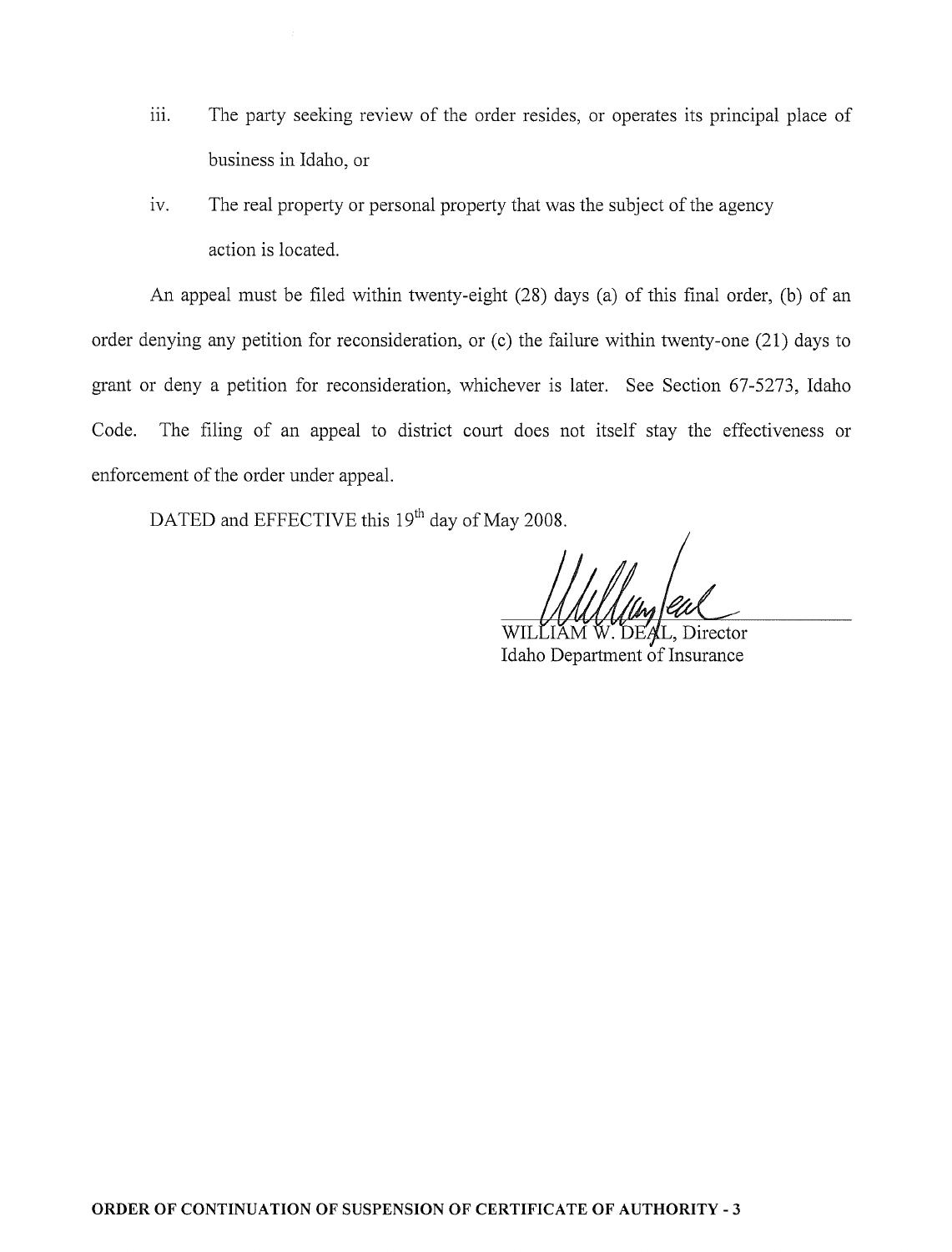- iii. The party seeking review of the order resides, or operates its principal place of business in Idaho, or
- iv. The real property or personal property that was the subject of the agency action is located.

An appeal must be filed within twenty-eight (28) days (a) of this final order, (b) of an order denying any petition for reconsideration, or (c) the failure within twenty-one (21) days to grant or deny a petition for reconsideration, whichever is later. See Section 67-5273, Idaho Code. The filing of an appeal to district court does not itself stay the effectiveness or enforcement of the order under appeal.

DATED and EFFECTIVE this 19<sup>th</sup> day of May 2008.

EAL, Director Idaho Department of Insurance